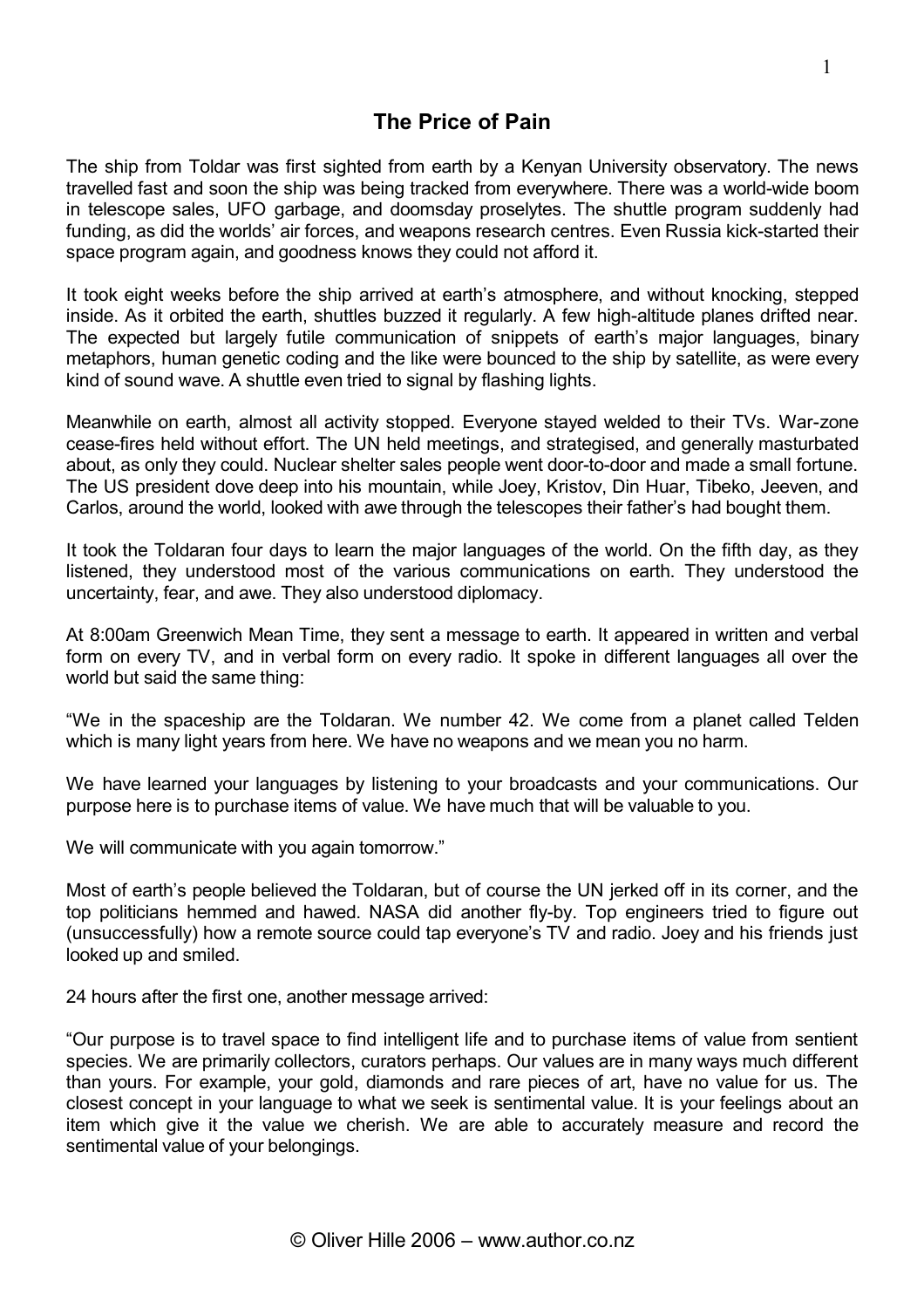## **The Price of Pain**

The ship from Toldar was first sighted from earth by a Kenyan University observatory. The news travelled fast and soon the ship was being tracked from everywhere. There was a world-wide boom in telescope sales, UFO garbage, and doomsday proselytes. The shuttle program suddenly had funding, as did the worlds' air forces, and weapons research centres. Even Russia kick-started their space program again, and goodness knows they could not afford it.

It took eight weeks before the ship arrived at earth's atmosphere, and without knocking, stepped inside. As it orbited the earth, shuttles buzzed it regularly. A few high-altitude planes drifted near. The expected but largely futile communication of snippets of earth's major languages, binary metaphors, human genetic coding and the like were bounced to the ship by satellite, as were every kind of sound wave. A shuttle even tried to signal by flashing lights.

Meanwhile on earth, almost all activity stopped. Everyone stayed welded to their TVs. War-zone cease-fires held without effort. The UN held meetings, and strategised, and generally masturbated about, as only they could. Nuclear shelter sales people went door-to-door and made a small fortune. The US president dove deep into his mountain, while Joey, Kristov, Din Huar, Tibeko, Jeeven, and Carlos, around the world, looked with awe through the telescopes their father's had bought them.

It took the Toldaran four days to learn the major languages of the world. On the fifth day, as they listened, they understood most of the various communications on earth. They understood the uncertainty, fear, and awe. They also understood diplomacy.

At 8:00am Greenwich Mean Time, they sent a message to earth. It appeared in written and verbal form on every TV, and in verbal form on every radio. It spoke in different languages all over the world but said the same thing:

"We in the spaceship are the Toldaran. We number 42. We come from a planet called Telden which is many light years from here. We have no weapons and we mean you no harm.

We have learned your languages by listening to your broadcasts and your communications. Our purpose here is to purchase items of value. We have much that will be valuable to you.

We will communicate with you again tomorrow."

Most of earth's people believed the Toldaran, but of course the UN jerked off in its corner, and the top politicians hemmed and hawed. NASA did another fly-by. Top engineers tried to figure out (unsuccessfully) how a remote source could tap everyone's TV and radio. Joey and his friends just looked up and smiled.

24 hours after the first one, another message arrived:

"Our purpose is to travel space to find intelligent life and to purchase items of value from sentient species. We are primarily collectors, curators perhaps. Our values are in many ways much different than yours. For example, your gold, diamonds and rare pieces of art, have no value for us. The closest concept in your language to what we seek is sentimental value. It is your feelings about an item which give it the value we cherish. We are able to accurately measure and record the sentimental value of your belongings.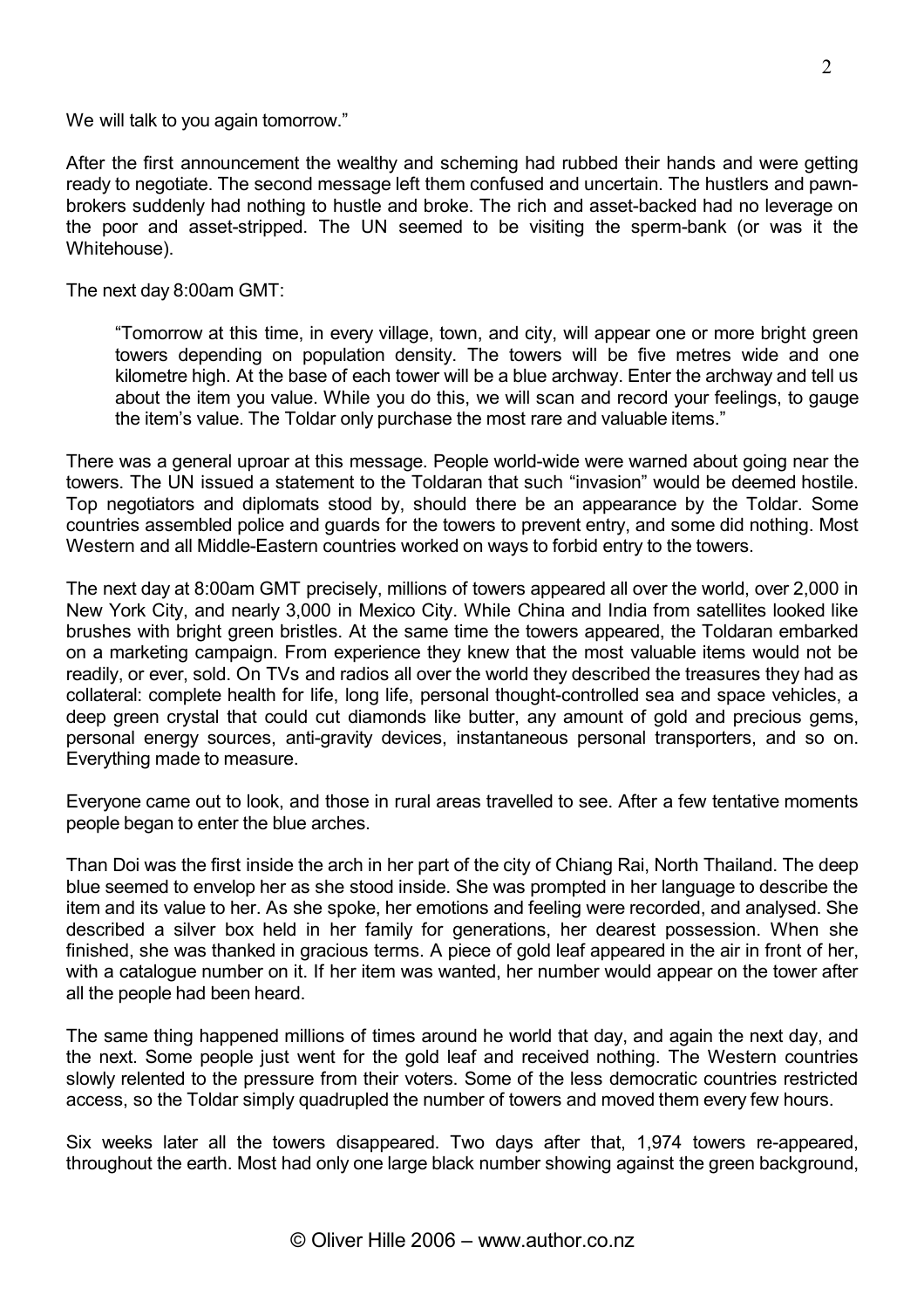We will talk to you again tomorrow."

After the first announcement the wealthy and scheming had rubbed their hands and were getting ready to negotiate. The second message left them confused and uncertain. The hustlers and pawnbrokers suddenly had nothing to hustle and broke. The rich and asset-backed had no leverage on the poor and asset-stripped. The UN seemed to be visiting the sperm-bank (or was it the Whitehouse).

The next day 8:00am GMT:

"Tomorrow at this time, in every village, town, and city, will appear one or more bright green towers depending on population density. The towers will be five metres wide and one kilometre high. At the base of each tower will be a blue archway. Enter the archway and tell us about the item you value. While you do this, we will scan and record your feelings, to gauge the item's value. The Toldar only purchase the most rare and valuable items."

There was a general uproar at this message. People world-wide were warned about going near the towers. The UN issued a statement to the Toldaran that such "invasion" would be deemed hostile. Top negotiators and diplomats stood by, should there be an appearance by the Toldar. Some countries assembled police and guards for the towers to prevent entry, and some did nothing. Most Western and all Middle-Eastern countries worked on ways to forbid entry to the towers.

The next day at 8:00am GMT precisely, millions of towers appeared all over the world, over 2,000 in New York City, and nearly 3,000 in Mexico City. While China and India from satellites looked like brushes with bright green bristles. At the same time the towers appeared, the Toldaran embarked on a marketing campaign. From experience they knew that the most valuable items would not be readily, or ever, sold. On TVs and radios all over the world they described the treasures they had as collateral: complete health for life, long life, personal thought-controlled sea and space vehicles, a deep green crystal that could cut diamonds like butter, any amount of gold and precious gems, personal energy sources, anti-gravity devices, instantaneous personal transporters, and so on. Everything made to measure.

Everyone came out to look, and those in rural areas travelled to see. After a few tentative moments people began to enter the blue arches.

Than Doi was the first inside the arch in her part of the city of Chiang Rai, North Thailand. The deep blue seemed to envelop her as she stood inside. She was prompted in her language to describe the item and its value to her. As she spoke, her emotions and feeling were recorded, and analysed. She described a silver box held in her family for generations, her dearest possession. When she finished, she was thanked in gracious terms. A piece of gold leaf appeared in the air in front of her, with a catalogue number on it. If her item was wanted, her number would appear on the tower after all the people had been heard.

The same thing happened millions of times around he world that day, and again the next day, and the next. Some people just went for the gold leaf and received nothing. The Western countries slowly relented to the pressure from their voters. Some of the less democratic countries restricted access, so the Toldar simply quadrupled the number of towers and moved them every few hours.

Six weeks later all the towers disappeared. Two days after that, 1,974 towers re-appeared, throughout the earth. Most had only one large black number showing against the green background,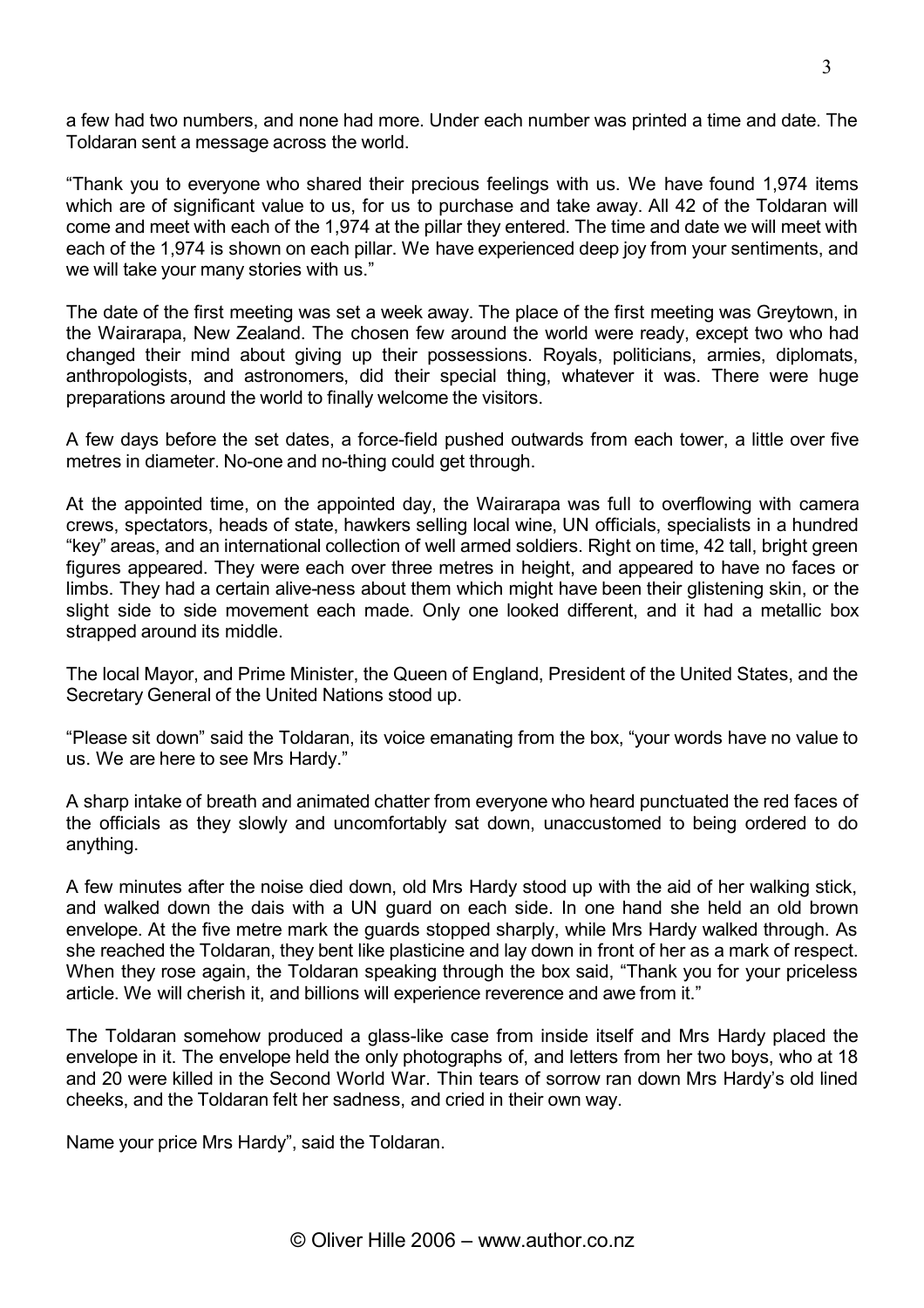a few had two numbers, and none had more. Under each number was printed a time and date. The Toldaran sent a message across the world.

"Thank you to everyone who shared their precious feelings with us. We have found 1,974 items which are of significant value to us, for us to purchase and take away. All 42 of the Toldaran will come and meet with each of the 1,974 at the pillar they entered. The time and date we will meet with each of the 1,974 is shown on each pillar. We have experienced deep joy from your sentiments, and we will take your many stories with us."

The date of the first meeting was set a week away. The place of the first meeting was Greytown, in the Wairarapa, New Zealand. The chosen few around the world were ready, except two who had changed their mind about giving up their possessions. Royals, politicians, armies, diplomats, anthropologists, and astronomers, did their special thing, whatever it was. There were huge preparations around the world to finally welcome the visitors.

A few days before the set dates, a force-field pushed outwards from each tower, a little over five metres in diameter. No-one and no-thing could get through.

At the appointed time, on the appointed day, the Wairarapa was full to overflowing with camera crews, spectators, heads of state, hawkers selling local wine, UN officials, specialists in a hundred "key" areas, and an international collection of well armed soldiers. Right on time, 42 tall, bright green figures appeared. They were each over three metres in height, and appeared to have no faces or limbs. They had a certain alive-ness about them which might have been their glistening skin, or the slight side to side movement each made. Only one looked different, and it had a metallic box strapped around its middle.

The local Mayor, and Prime Minister, the Queen of England, President of the United States, and the Secretary General of the United Nations stood up.

"Please sit down" said the Toldaran, its voice emanating from the box, "your words have no value to us. We are here to see Mrs Hardy."

A sharp intake of breath and animated chatter from everyone who heard punctuated the red faces of the officials as they slowly and uncomfortably sat down, unaccustomed to being ordered to do anything.

A few minutes after the noise died down, old Mrs Hardy stood up with the aid of her walking stick, and walked down the dais with a UN guard on each side. In one hand she held an old brown envelope. At the five metre mark the guards stopped sharply, while Mrs Hardy walked through. As she reached the Toldaran, they bent like plasticine and lay down in front of her as a mark of respect. When they rose again, the Toldaran speaking through the box said, "Thank you for your priceless article. We will cherish it, and billions will experience reverence and awe from it."

The Toldaran somehow produced a glass-like case from inside itself and Mrs Hardy placed the envelope in it. The envelope held the only photographs of, and letters from her two boys, who at 18 and 20 were killed in the Second World War. Thin tears of sorrow ran down Mrs Hardy's old lined cheeks, and the Toldaran felt her sadness, and cried in their own way.

Name your price Mrs Hardy", said the Toldaran.